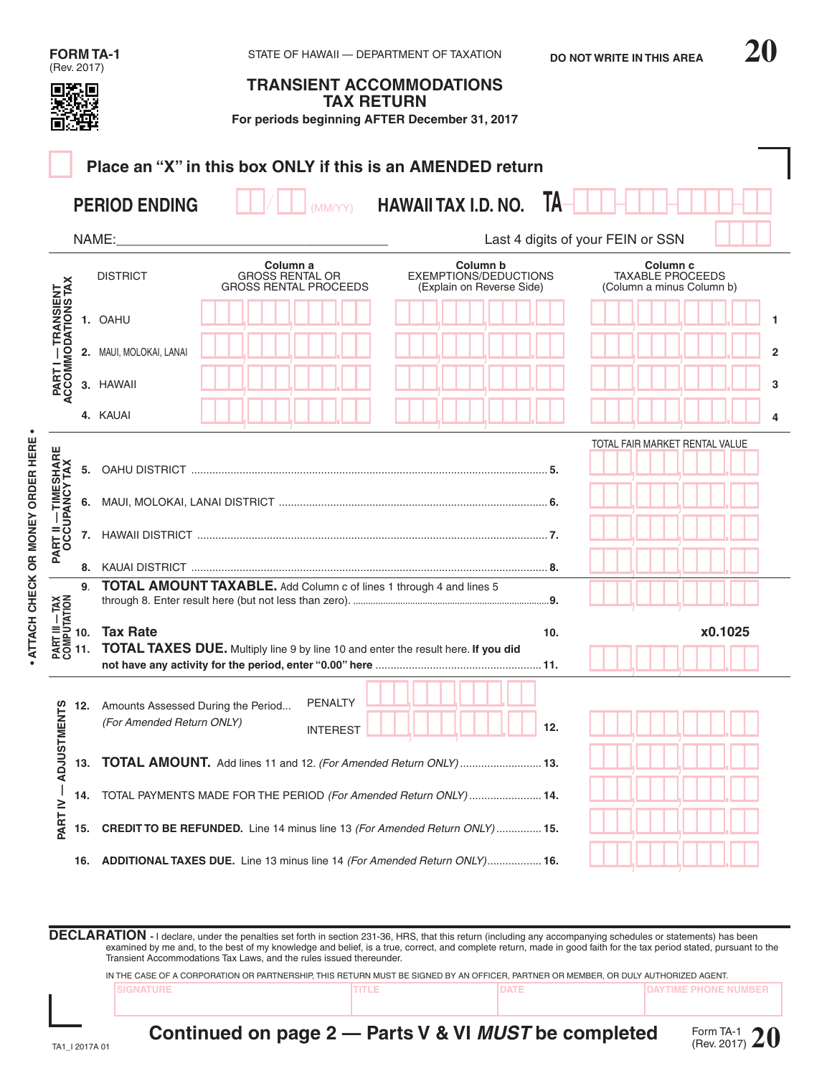|                                                                                                                     |     | <b>FORM TA-1</b>                                                                                     |                                                                    | STATE OF HAWAII - DEPARTMENT OF TAXATION                              | <b>DO NOT WRITE IN THIS AREA</b>                                            |                |  |  |
|---------------------------------------------------------------------------------------------------------------------|-----|------------------------------------------------------------------------------------------------------|--------------------------------------------------------------------|-----------------------------------------------------------------------|-----------------------------------------------------------------------------|----------------|--|--|
| (Rev. 2017)                                                                                                         |     |                                                                                                      | <b>TAX RETURN</b>                                                  | <b>TRANSIENT ACCOMMODATIONS</b>                                       |                                                                             |                |  |  |
|                                                                                                                     |     |                                                                                                      |                                                                    | For periods beginning AFTER December 31, 2017                         |                                                                             |                |  |  |
|                                                                                                                     |     | Place an "X" in this box ONLY if this is an AMENDED return                                           |                                                                    |                                                                       |                                                                             |                |  |  |
|                                                                                                                     |     |                                                                                                      |                                                                    |                                                                       |                                                                             |                |  |  |
|                                                                                                                     |     | <b>PERIOD ENDING</b>                                                                                 | (MM/YY)                                                            | <b>HAWAII TAX I.D. NO.</b>                                            | TA                                                                          |                |  |  |
|                                                                                                                     |     | NAME:                                                                                                | Last 4 digits of your FEIN or SSN                                  |                                                                       |                                                                             |                |  |  |
|                                                                                                                     |     | <b>DISTRICT</b>                                                                                      | Column a<br><b>GROSS RENTAL OR</b><br><b>GROSS RENTAL PROCEEDS</b> | Column b<br><b>EXEMPTIONS/DEDUCTIONS</b><br>(Explain on Reverse Side) | Column <sub>c</sub><br><b>TAXABLE PROCEEDS</b><br>(Column a minus Column b) |                |  |  |
| PART I — TRANSIENT<br>ACCOMMODATIONS TAX                                                                            |     | 1. OAHU                                                                                              |                                                                    |                                                                       |                                                                             | 1              |  |  |
|                                                                                                                     |     | 2. MAUI, MOLOKAI, LANAI                                                                              |                                                                    |                                                                       |                                                                             | $\overline{2}$ |  |  |
|                                                                                                                     |     | 3. HAWAII                                                                                            |                                                                    |                                                                       |                                                                             | 3              |  |  |
|                                                                                                                     |     | 4. KAUAI                                                                                             |                                                                    |                                                                       |                                                                             | 4              |  |  |
|                                                                                                                     |     |                                                                                                      |                                                                    |                                                                       | TOTAL FAIR MARKET RENTAL VALUE                                              |                |  |  |
|                                                                                                                     | 5.  |                                                                                                      |                                                                    |                                                                       |                                                                             |                |  |  |
|                                                                                                                     |     |                                                                                                      |                                                                    |                                                                       |                                                                             |                |  |  |
| <b>PART II — TIMESHARE<br/>OCCUPANCY TAX</b>                                                                        |     |                                                                                                      |                                                                    |                                                                       |                                                                             |                |  |  |
|                                                                                                                     |     |                                                                                                      |                                                                    |                                                                       |                                                                             |                |  |  |
|                                                                                                                     | 9.  | <b>TOTAL AMOUNT TAXABLE.</b> Add Column c of lines 1 through 4 and lines 5                           |                                                                    |                                                                       |                                                                             |                |  |  |
| $\begin{array}{c}\nX \times T = 10.75 \\ X \times T = 10.75 \\ X \times T = 10.75 \\ X \times T = 11.\n\end{array}$ |     | <b>Tax Rate</b><br>TOTAL TAXES DUE. Multiply line 9 by line 10 and enter the result here. If you did |                                                                    |                                                                       | x0.1025<br>10.                                                              |                |  |  |
| <b>ADJUSTMENTS</b>                                                                                                  | 12. | Amounts Assessed During the Period<br>(For Amended Return ONLY)                                      | PENALTY<br><b>INTEREST</b>                                         |                                                                       | 12.                                                                         |                |  |  |
|                                                                                                                     | 13. | TOTAL AMOUNT. Add lines 11 and 12. (For Amended Return ONLY)  13.                                    |                                                                    |                                                                       |                                                                             |                |  |  |
| $-$ VI TRAC                                                                                                         | 14. | TOTAL PAYMENTS MADE FOR THE PERIOD (For Amended Return ONLY) 14.                                     |                                                                    |                                                                       |                                                                             |                |  |  |
| CREDIT TO BE REFUNDED. Line 14 minus line 13 (For Amended Return ONLY) 15.<br>15.                                   |     |                                                                                                      |                                                                    |                                                                       |                                                                             |                |  |  |
|                                                                                                                     | 16. | ADDITIONAL TAXES DUE. Line 13 minus line 14 (For Amended Return ONLY) 16.                            |                                                                    |                                                                       |                                                                             |                |  |  |

**DECLARATION** - I declare, under the penalties set forth in section 231-36, HRS, that this return (including any accompanying schedules or statements) has been examined by me and, to the best of my knowledge and belief, is a true, correct, and complete return, made in good faith for the tax period stated, pursuant to the<br>Transient Accommodations Tax Laws, and the rules issued the

IN THE CASE OF A CORPORATION OR PARTNERSHIP, THIS RETURN MUST BE SIGNED BY AN OFFICER, PARTNER OR MEMBER, OR DULY AUTHORIZED AGENT.

**• ATTACH CHECK OR MONEY ORDER HERE •**

- ATTACH CHECK OR MONEY ORDER HERE -

**Continued on page 2 — Parts V & VI** *MUST* **be completed**